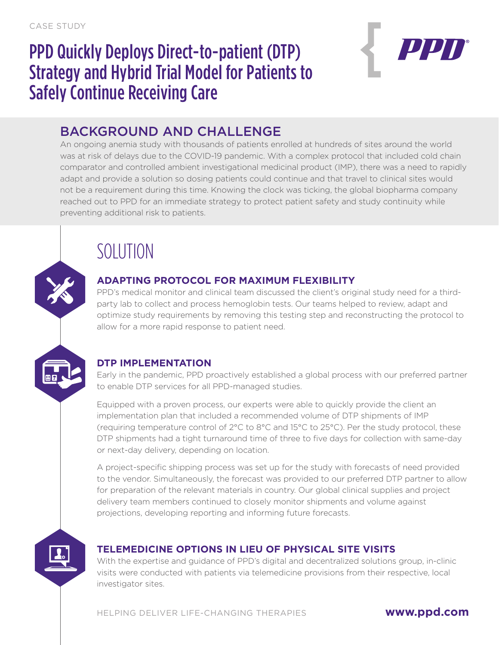## PPD Quickly Deploys Direct-to-patient (DTP) Strategy and Hybrid Trial Model for Patients to Safely Continue Receiving Care



### BACKGROUND AND CHALLENGE

An ongoing anemia study with thousands of patients enrolled at hundreds of sites around the world was at risk of delays due to the COVID-19 pandemic. With a complex protocol that included cold chain comparator and controlled ambient investigational medicinal product (IMP), there was a need to rapidly adapt and provide a solution so dosing patients could continue and that travel to clinical sites would not be a requirement during this time. Knowing the clock was ticking, the global biopharma company reached out to PPD for an immediate strategy to protect patient safety and study continuity while preventing additional risk to patients.

# SOLUTION

### **ADAPTING PROTOCOL FOR MAXIMUM FLEXIBILITY**

PPD's medical monitor and clinical team discussed the client's original study need for a thirdparty lab to collect and process hemoglobin tests. Our teams helped to review, adapt and optimize study requirements by removing this testing step and reconstructing the protocol to allow for a more rapid response to patient need.

### **DTP IMPLEMENTATION**

Early in the pandemic, PPD proactively established a global process with our preferred partner to enable DTP services for all PPD-managed studies.

Equipped with a proven process, our experts were able to quickly provide the client an implementation plan that included a recommended volume of DTP shipments of IMP (requiring temperature control of 2°C to 8°C and 15°C to 25°C). Per the study protocol, these DTP shipments had a tight turnaround time of three to five days for collection with same-day or next-day delivery, depending on location.

A project-specific shipping process was set up for the study with forecasts of need provided to the vendor. Simultaneously, the forecast was provided to our preferred DTP partner to allow for preparation of the relevant materials in country. Our global clinical supplies and project delivery team members continued to closely monitor shipments and volume against projections, developing reporting and informing future forecasts.



### **TELEMEDICINE OPTIONS IN LIEU OF PHYSICAL SITE VISITS**

With the expertise and guidance of PPD's digital and decentralized solutions group, in-clinic visits were conducted with patients via telemedicine provisions from their respective, local investigator sites.

HELPING DELIVER LIFE-CHANGING THERAPIES